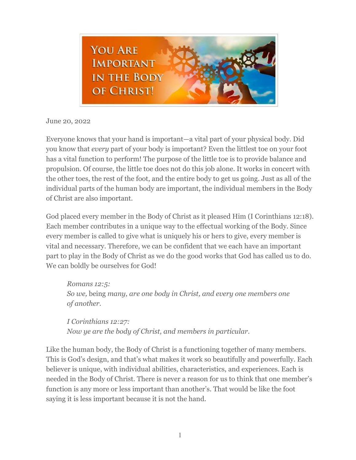

June 20, 2022

Everyone knows that your hand is important—a vital part of your physical body. Did you know that *every* part of your body is important? Even the littlest toe on your foot has a vital function to perform! The purpose of the little toe is to provide balance and propulsion. Of course, the little toe does not do this job alone. It works in concert with the other toes, the rest of the foot, and the entire body to get us going. Just as all of the individual parts of the human body are important, the individual members in the Body of Christ are also important.

God placed every member in the Body of Christ as it pleased Him (I Corinthians 12:18). Each member contributes in a unique way to the effectual working of the Body. Since every member is called to give what is uniquely his or hers to give, every member is vital and necessary. Therefore, we can be confident that we each have an important part to play in the Body of Christ as we do the good works that God has called us to do. We can boldly be ourselves for God!

*Romans 12:5: So we,* being *many, are one body in Christ, and every one members one of another*.

*I Corinthians 12:27: Now ye are the body of Christ, and members in particular.*

Like the human body, the Body of Christ is a functioning together of many members. This is God's design, and that's what makes it work so beautifully and powerfully. Each believer is unique, with individual abilities, characteristics, and experiences. Each is needed in the Body of Christ. There is never a reason for us to think that one member's function is any more or less important than another's. That would be like the foot saying it is less important because it is not the hand.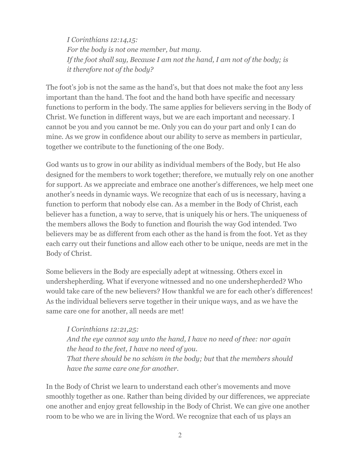*I Corinthians 12:14,15: For the body is not one member, but many. If the foot shall say, Because I am not the hand, I am not of the body; is it therefore not of the body?*

The foot's job is not the same as the hand's, but that does not make the foot any less important than the hand. The foot and the hand both have specific and necessary functions to perform in the body. The same applies for believers serving in the Body of Christ. We function in different ways, but we are each important and necessary. I cannot be you and you cannot be me. Only you can do your part and only I can do mine. As we grow in confidence about our ability to serve as members in particular, together we contribute to the functioning of the one Body.

God wants us to grow in our ability as individual members of the Body, but He also designed for the members to work together; therefore, we mutually rely on one another for support. As we appreciate and embrace one another's differences, we help meet one another's needs in dynamic ways. We recognize that each of us is necessary, having a function to perform that nobody else can. As a member in the Body of Christ, each believer has a function, a way to serve, that is uniquely his or hers. The uniqueness of the members allows the Body to function and flourish the way God intended. Two believers may be as different from each other as the hand is from the foot. Yet as they each carry out their functions and allow each other to be unique, needs are met in the Body of Christ.

Some believers in the Body are especially adept at witnessing. Others excel in undershepherding. What if everyone witnessed and no one undershepherded? Who would take care of the new believers? How thankful we are for each other's differences! As the individual believers serve together in their unique ways, and as we have the same care one for another, all needs are met!

*I Corinthians 12:21,25: And the eye cannot say unto the hand, I have no need of thee: nor again the head to the feet, I have no need of you. That there should be no schism in the body; but* that *the members should have the same care one for another.*

In the Body of Christ we learn to understand each other's movements and move smoothly together as one. Rather than being divided by our differences, we appreciate one another and enjoy great fellowship in the Body of Christ. We can give one another room to be who we are in living the Word. We recognize that each of us plays an